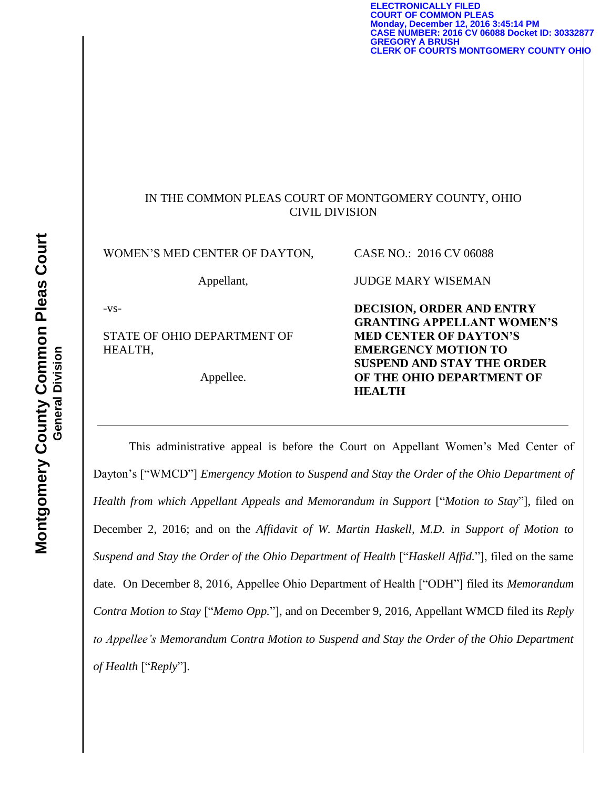**ELECTRONICALLY FILED COURT OF COMMON PLEAS Monday, December 12, 2016 3:45:14 PM CASE NUMBER: 2016 CV 06088 Docket ID: 30332877 GREGORY A BRUSH CLERK OF COURTS MONTGOMERY COUNTY OHIO**

## IN THE COMMON PLEAS COURT OF MONTGOMERY COUNTY, OHIO CIVIL DIVISION

WOMEN'S MED CENTER OF DAYTON,

Appellant,

-vs-

STATE OF OHIO DEPARTMENT OF HEALTH,

Appellee.

**DECISION, ORDER AND ENTRY GRANTING APPELLANT WOMEN'S MED CENTER OF DAYTON'S EMERGENCY MOTION TO SUSPEND AND STAY THE ORDER OF THE OHIO DEPARTMENT OF HEALTH**

CASE NO.: 2016 CV 06088

JUDGE MARY WISEMAN

This administrative appeal is before the Court on Appellant Women's Med Center of Dayton's ["WMCD"] *Emergency Motion to Suspend and Stay the Order of the Ohio Department of Health from which Appellant Appeals and Memorandum in Support* ["*Motion to Stay*"], filed on December 2, 2016; and on the *Affidavit of W. Martin Haskell, M.D. in Support of Motion to Suspend and Stay the Order of the Ohio Department of Health* ["*Haskell Affid.*"], filed on the same date. On December 8, 2016, Appellee Ohio Department of Health ["ODH"] filed its *Memorandum Contra Motion to Stay* ["*Memo Opp.*"], and on December 9, 2016, Appellant WMCD filed its *Reply to Appellee's Memorandum Contra Motion to Suspend and Stay the Order of the Ohio Department of Health* ["*Reply*"].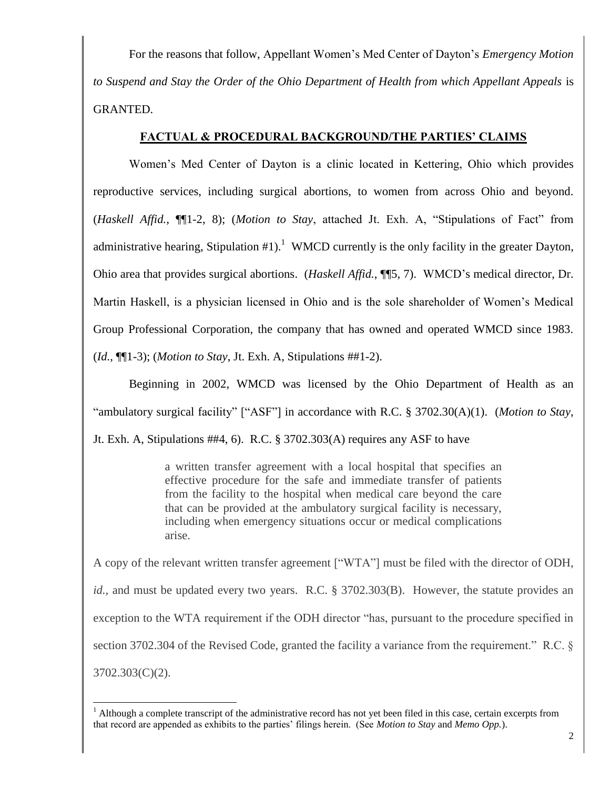For the reasons that follow, Appellant Women's Med Center of Dayton's *Emergency Motion to Suspend and Stay the Order of the Ohio Department of Health from which Appellant Appeals* is GRANTED.

## **FACTUAL & PROCEDURAL BACKGROUND/THE PARTIES' CLAIMS**

 Women's Med Center of Dayton is a clinic located in Kettering, Ohio which provides reproductive services, including surgical abortions, to women from across Ohio and beyond. (*Haskell Affid.*, ¶¶1-2, 8); (*Motion to Stay*, attached Jt. Exh. A, "Stipulations of Fact" from administrative hearing, Stipulation  $#1$ ).<sup>1</sup> WMCD currently is the only facility in the greater Dayton, Ohio area that provides surgical abortions. (*Haskell Affid.*, ¶¶5, 7). WMCD's medical director, Dr. Martin Haskell, is a physician licensed in Ohio and is the sole shareholder of Women's Medical Group Professional Corporation, the company that has owned and operated WMCD since 1983. (*Id.*, ¶¶1-3); (*Motion to Stay*, Jt. Exh. A, Stipulations ##1-2).

 Beginning in 2002, WMCD was licensed by the Ohio Department of Health as an "ambulatory surgical facility" ["ASF"] in accordance with R.C. § 3702.30(A)(1). (*Motion to Stay*, Jt. Exh. A, Stipulations ##4, 6). R.C. § 3702.303(A) requires any ASF to have

> a written transfer agreement with a local hospital that specifies an effective procedure for the safe and immediate transfer of patients from the facility to the hospital when medical care beyond the care that can be provided at the ambulatory surgical facility is necessary, including when emergency situations occur or medical complications arise.

A copy of the relevant written transfer agreement ["WTA"] must be filed with the director of ODH, *id.*, and must be updated every two years. R.C. § 3702.303(B). However, the statute provides an exception to the WTA requirement if the ODH director "has, pursuant to the procedure specified in section 3702.304 of the Revised Code, granted the facility a variance from the requirement." R.C. § 3702.303(C)(2).

l

 $<sup>1</sup>$  Although a complete transcript of the administrative record has not yet been filed in this case, certain excerpts from</sup> that record are appended as exhibits to the parties' filings herein. (See *Motion to Stay* and *Memo Opp.*).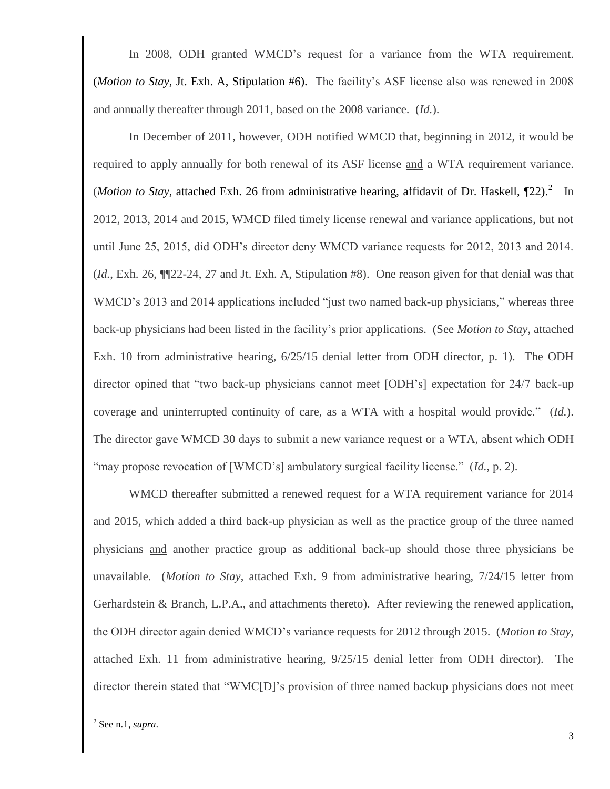In 2008, ODH granted WMCD's request for a variance from the WTA requirement. (*Motion to Stay*, Jt. Exh. A, Stipulation #6). The facility's ASF license also was renewed in 2008 and annually thereafter through 2011, based on the 2008 variance. (*Id.*).

In December of 2011, however, ODH notified WMCD that, beginning in 2012, it would be required to apply annually for both renewal of its ASF license and a WTA requirement variance. (*Motion to Stay*, attached Exh. 26 from administrative hearing, affidavit of Dr. Haskell,  $\P$ 22).<sup>2</sup> In 2012, 2013, 2014 and 2015, WMCD filed timely license renewal and variance applications, but not until June 25, 2015, did ODH's director deny WMCD variance requests for 2012, 2013 and 2014. (*Id.*, Exh. 26, ¶¶22-24, 27 and Jt. Exh. A, Stipulation #8). One reason given for that denial was that WMCD's 2013 and 2014 applications included "just two named back-up physicians," whereas three back-up physicians had been listed in the facility's prior applications. (See *Motion to Stay*, attached Exh. 10 from administrative hearing, 6/25/15 denial letter from ODH director, p. 1). The ODH director opined that "two back-up physicians cannot meet [ODH's] expectation for 24/7 back-up coverage and uninterrupted continuity of care, as a WTA with a hospital would provide." (*Id.*). The director gave WMCD 30 days to submit a new variance request or a WTA, absent which ODH "may propose revocation of [WMCD's] ambulatory surgical facility license." (*Id.*, p. 2).

WMCD thereafter submitted a renewed request for a WTA requirement variance for 2014 and 2015, which added a third back-up physician as well as the practice group of the three named physicians and another practice group as additional back-up should those three physicians be unavailable. (*Motion to Stay*, attached Exh. 9 from administrative hearing, 7/24/15 letter from Gerhardstein & Branch, L.P.A., and attachments thereto). After reviewing the renewed application, the ODH director again denied WMCD's variance requests for 2012 through 2015. (*Motion to Stay*, attached Exh. 11 from administrative hearing, 9/25/15 denial letter from ODH director). The director therein stated that "WMC[D]'s provision of three named backup physicians does not meet

 2 See n.1, *supra*.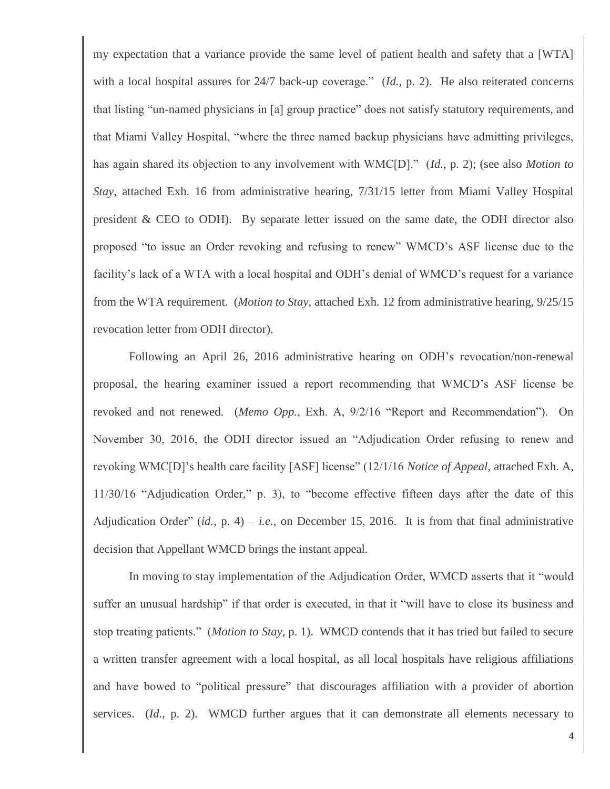my expectation that a variance provide the same level of patient health and safety that a [WTA] with a local hospital assures for 24/7 back-up coverage." (*Id.*, p. 2). He also reiterated concerns that listing "un-named physicians in [a] group practice" does not satisfy statutory requirements, and that Miami Valley Hospital, "where the three named backup physicians have admitting privileges, has again shared its objection to any involvement with WMC[D]." (*Id.*, p. 2); (see also *Motion to Stay*, attached Exh. 16 from administrative hearing, 7/31/15 letter from Miami Valley Hospital president & CEO to ODH). By separate letter issued on the same date, the ODH director also proposed "to issue an Order revoking and refusing to renew" WMCD's ASF license due to the facility's lack of a WTA with a local hospital and ODH's denial of WMCD's request for a variance from the WTA requirement. (*Motion to Stay*, attached Exh. 12 from administrative hearing, 9/25/15 revocation letter from ODH director).

Following an April 26, 2016 administrative hearing on ODH's revocation/non-renewal proposal, the hearing examiner issued a report recommending that WMCD's ASF license be revoked and not renewed. (*Memo Opp.*, Exh. A, 9/2/16 "Report and Recommendation"). On November 30, 2016, the ODH director issued an "Adjudication Order refusing to renew and revoking WMC[D]'s health care facility [ASF] license" (12/1/16 *Notice of Appeal*, attached Exh. A, 11/30/16 "Adjudication Order," p. 3), to "become effective fifteen days after the date of this Adjudication Order"  $(id, p, 4) - i.e.,$  on December 15, 2016. It is from that final administrative decision that Appellant WMCD brings the instant appeal.

In moving to stay implementation of the Adjudication Order, WMCD asserts that it "would suffer an unusual hardship" if that order is executed, in that it "will have to close its business and stop treating patients." (*Motion to Stay*, p. 1). WMCD contends that it has tried but failed to secure a written transfer agreement with a local hospital, as all local hospitals have religious affiliations and have bowed to "political pressure" that discourages affiliation with a provider of abortion services. (*Id.*, p. 2). WMCD further argues that it can demonstrate all elements necessary to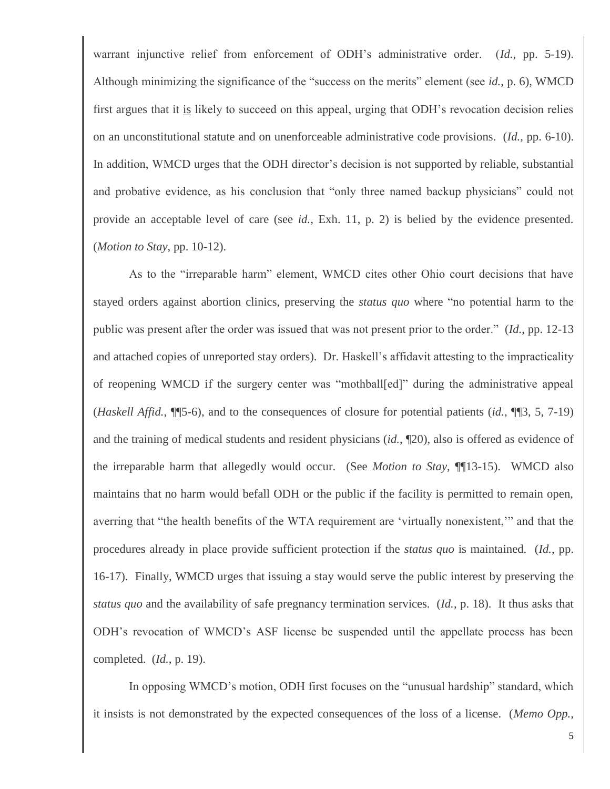warrant injunctive relief from enforcement of ODH's administrative order. (*Id.*, pp. 5-19). Although minimizing the significance of the "success on the merits" element (see *id.*, p. 6), WMCD first argues that it is likely to succeed on this appeal, urging that ODH's revocation decision relies on an unconstitutional statute and on unenforceable administrative code provisions. (*Id.*, pp. 6-10). In addition, WMCD urges that the ODH director's decision is not supported by reliable, substantial and probative evidence, as his conclusion that "only three named backup physicians" could not provide an acceptable level of care (see *id.*, Exh. 11, p. 2) is belied by the evidence presented. (*Motion to Stay*, pp. 10-12).

As to the "irreparable harm" element, WMCD cites other Ohio court decisions that have stayed orders against abortion clinics, preserving the *status quo* where "no potential harm to the public was present after the order was issued that was not present prior to the order." (*Id.*, pp. 12-13 and attached copies of unreported stay orders). Dr. Haskell's affidavit attesting to the impracticality of reopening WMCD if the surgery center was "mothball[ed]" during the administrative appeal (*Haskell Affid.*, ¶¶5-6), and to the consequences of closure for potential patients (*id.*, ¶¶3, 5, 7-19) and the training of medical students and resident physicians (*id.*, ¶20), also is offered as evidence of the irreparable harm that allegedly would occur. (See *Motion to Stay*, ¶¶13-15). WMCD also maintains that no harm would befall ODH or the public if the facility is permitted to remain open, averring that "the health benefits of the WTA requirement are 'virtually nonexistent,'" and that the procedures already in place provide sufficient protection if the *status quo* is maintained. (*Id.*, pp. 16-17). Finally, WMCD urges that issuing a stay would serve the public interest by preserving the *status quo* and the availability of safe pregnancy termination services. (*Id.*, p. 18). It thus asks that ODH's revocation of WMCD's ASF license be suspended until the appellate process has been completed. (*Id.*, p. 19).

In opposing WMCD's motion, ODH first focuses on the "unusual hardship" standard, which it insists is not demonstrated by the expected consequences of the loss of a license. (*Memo Opp.*,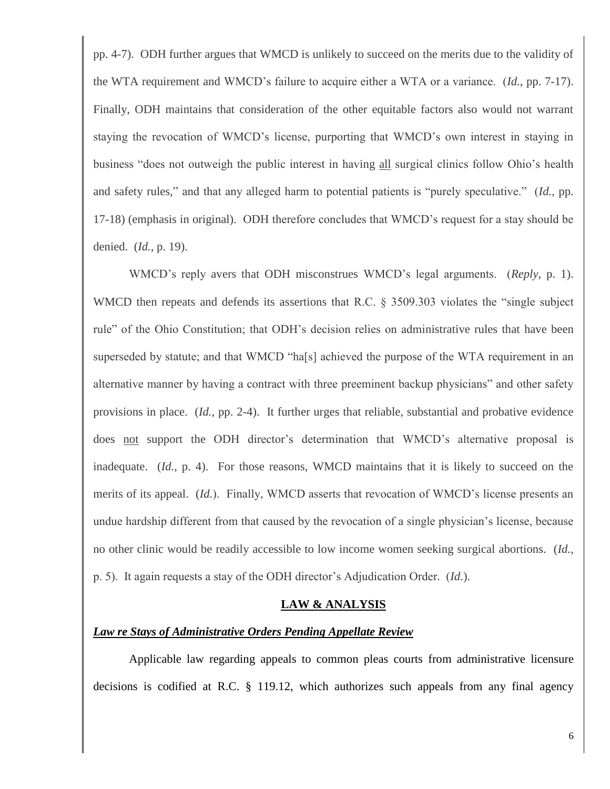pp. 4-7). ODH further argues that WMCD is unlikely to succeed on the merits due to the validity of the WTA requirement and WMCD's failure to acquire either a WTA or a variance. (*Id.*, pp. 7-17). Finally, ODH maintains that consideration of the other equitable factors also would not warrant staying the revocation of WMCD's license, purporting that WMCD's own interest in staying in business "does not outweigh the public interest in having all surgical clinics follow Ohio's health and safety rules," and that any alleged harm to potential patients is "purely speculative." (*Id.*, pp. 17-18) (emphasis in original). ODH therefore concludes that WMCD's request for a stay should be denied. (*Id.*, p. 19).

WMCD's reply avers that ODH misconstrues WMCD's legal arguments. (*Reply*, p. 1). WMCD then repeats and defends its assertions that R.C. § 3509.303 violates the "single subject rule" of the Ohio Constitution; that ODH's decision relies on administrative rules that have been superseded by statute; and that WMCD "ha[s] achieved the purpose of the WTA requirement in an alternative manner by having a contract with three preeminent backup physicians" and other safety provisions in place. (*Id.*, pp. 2-4). It further urges that reliable, substantial and probative evidence does not support the ODH director's determination that WMCD's alternative proposal is inadequate. (*Id.*, p. 4). For those reasons, WMCD maintains that it is likely to succeed on the merits of its appeal. (*Id.*). Finally, WMCD asserts that revocation of WMCD's license presents an undue hardship different from that caused by the revocation of a single physician's license, because no other clinic would be readily accessible to low income women seeking surgical abortions. (*Id.*, p. 5). It again requests a stay of the ODH director's Adjudication Order. (*Id.*).

#### **LAW & ANALYSIS**

### *Law re Stays of Administrative Orders Pending Appellate Review*

 Applicable law regarding appeals to common pleas courts from administrative licensure decisions is codified at R.C. § 119.12, which authorizes such appeals from any final agency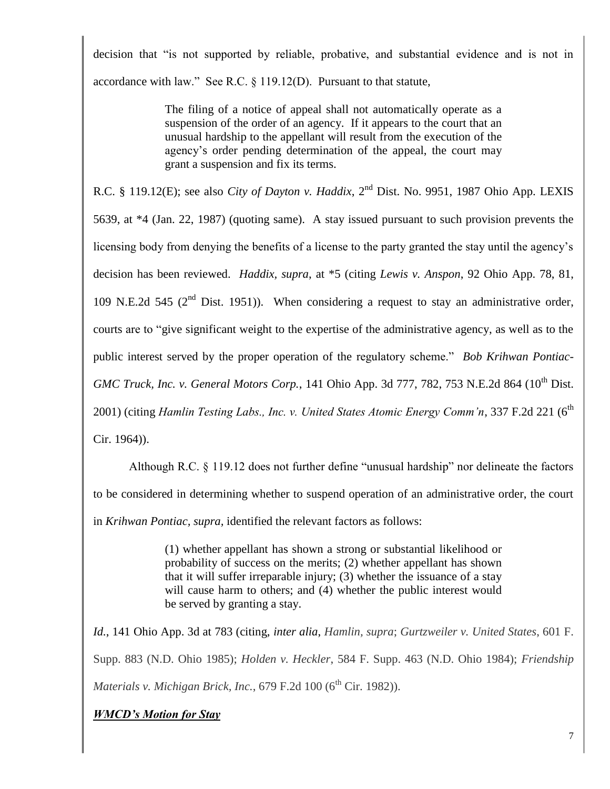decision that "is not supported by reliable, probative, and substantial evidence and is not in accordance with law." See R.C. § 119.12(D). Pursuant to that statute,

> The filing of a notice of appeal shall not automatically operate as a suspension of the order of an agency. If it appears to the court that an unusual hardship to the appellant will result from the execution of the agency's order pending determination of the appeal, the court may grant a suspension and fix its terms.

R.C. § 119.12(E); see also *City of Dayton v. Haddix*, 2<sup>nd</sup> Dist. No. 9951, 1987 Ohio App. LEXIS 5639, at \*4 (Jan. 22, 1987) (quoting same). A stay issued pursuant to such provision prevents the licensing body from denying the benefits of a license to the party granted the stay until the agency's decision has been reviewed. *Haddix, supra*, at \*5 (citing *Lewis v. Anspon*, 92 Ohio App. 78, 81, 109 N.E.2d 545 ( $2<sup>nd</sup>$  Dist. 1951)). When considering a request to stay an administrative order, courts are to "give significant weight to the expertise of the administrative agency, as well as to the public interest served by the proper operation of the regulatory scheme." *Bob Krihwan Pontiac-GMC Truck, Inc. v. General Motors Corp.*, 141 Ohio App. 3d 777, 782, 753 N.E.2d 864 (10<sup>th</sup> Dist. 2001) (citing *Hamlin Testing Labs., Inc. v. United States Atomic Energy Comm'n*, 337 F.2d 221 (6th Cir. 1964)).

 Although R.C. § 119.12 does not further define "unusual hardship" nor delineate the factors to be considered in determining whether to suspend operation of an administrative order, the court in *Krihwan Pontiac, supra,* identified the relevant factors as follows:

> (1) whether appellant has shown a strong or substantial likelihood or probability of success on the merits; (2) whether appellant has shown that it will suffer irreparable injury; (3) whether the issuance of a stay will cause harm to others; and (4) whether the public interest would be served by granting a stay.

*Id.*, 141 Ohio App. 3d at 783 (citing, *inter alia*, *Hamlin, supra*; *Gurtzweiler v. United States*, 601 F. Supp. 883 (N.D. Ohio 1985); *Holden v. Heckler*, 584 F. Supp. 463 (N.D. Ohio 1984); *Friendship Materials v. Michigan Brick, Inc.*, 679 F.2d 100 (6<sup>th</sup> Cir. 1982)).

# *WMCD's Motion for Stay*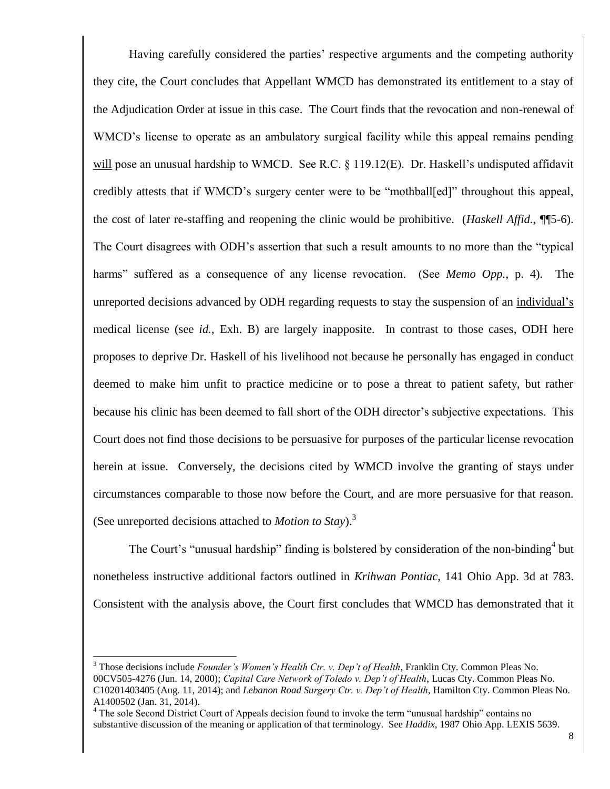Having carefully considered the parties' respective arguments and the competing authority they cite, the Court concludes that Appellant WMCD has demonstrated its entitlement to a stay of the Adjudication Order at issue in this case. The Court finds that the revocation and non-renewal of WMCD's license to operate as an ambulatory surgical facility while this appeal remains pending will pose an unusual hardship to WMCD. See R.C. § 119.12(E). Dr. Haskell's undisputed affidavit credibly attests that if WMCD's surgery center were to be "mothball[ed]" throughout this appeal, the cost of later re-staffing and reopening the clinic would be prohibitive. (*Haskell Affid.*, ¶¶5-6). The Court disagrees with ODH's assertion that such a result amounts to no more than the "typical harms" suffered as a consequence of any license revocation. (See *Memo Opp.*, p. 4). The unreported decisions advanced by ODH regarding requests to stay the suspension of an individual's medical license (see *id.*, Exh. B) are largely inapposite. In contrast to those cases, ODH here proposes to deprive Dr. Haskell of his livelihood not because he personally has engaged in conduct deemed to make him unfit to practice medicine or to pose a threat to patient safety, but rather because his clinic has been deemed to fall short of the ODH director's subjective expectations. This Court does not find those decisions to be persuasive for purposes of the particular license revocation herein at issue. Conversely, the decisions cited by WMCD involve the granting of stays under circumstances comparable to those now before the Court, and are more persuasive for that reason. (See unreported decisions attached to *Motion to Stay*).<sup>3</sup>

The Court's "unusual hardship" finding is bolstered by consideration of the non-binding<sup>4</sup> but nonetheless instructive additional factors outlined in *Krihwan Pontiac*, 141 Ohio App. 3d at 783. Consistent with the analysis above, the Court first concludes that WMCD has demonstrated that it

l

<sup>3</sup> Those decisions include *Founder's Women's Health Ctr. v. Dep't of Health*, Franklin Cty. Common Pleas No. 00CV505-4276 (Jun. 14, 2000); *Capital Care Network of Toledo v. Dep't of Health*, Lucas Cty. Common Pleas No. C10201403405 (Aug. 11, 2014); and *Lebanon Road Surgery Ctr. v. Dep't of Health*, Hamilton Cty. Common Pleas No. A1400502 (Jan. 31, 2014).

<sup>&</sup>lt;sup>4</sup> The sole Second District Court of Appeals decision found to invoke the term "unusual hardship" contains no substantive discussion of the meaning or application of that terminology. See *Haddix*, 1987 Ohio App. LEXIS 5639.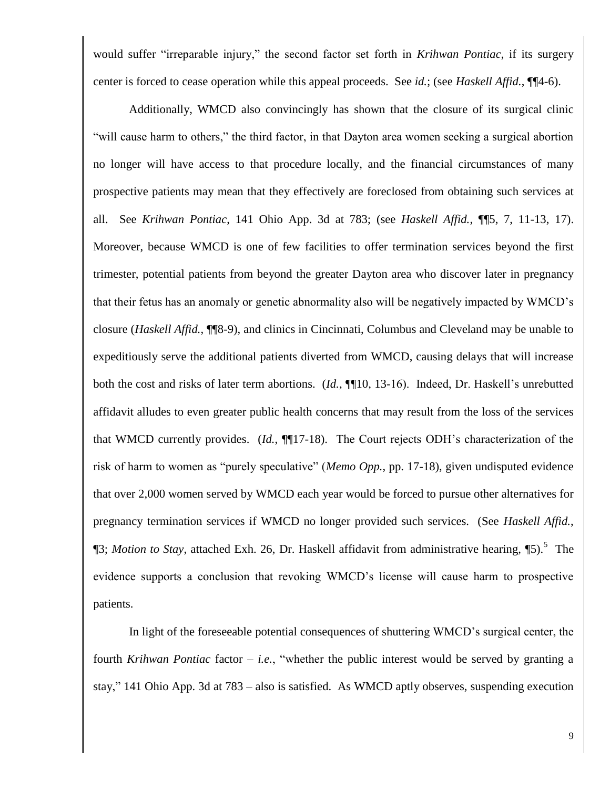would suffer "irreparable injury," the second factor set forth in *Krihwan Pontiac*, if its surgery center is forced to cease operation while this appeal proceeds. See *id.*; (see *Haskell Affid.*, ¶¶4-6).

 Additionally, WMCD also convincingly has shown that the closure of its surgical clinic "will cause harm to others," the third factor, in that Dayton area women seeking a surgical abortion no longer will have access to that procedure locally, and the financial circumstances of many prospective patients may mean that they effectively are foreclosed from obtaining such services at all. See *Krihwan Pontiac*, 141 Ohio App. 3d at 783; (see *Haskell Affid.*, ¶¶5, 7, 11-13, 17). Moreover, because WMCD is one of few facilities to offer termination services beyond the first trimester, potential patients from beyond the greater Dayton area who discover later in pregnancy that their fetus has an anomaly or genetic abnormality also will be negatively impacted by WMCD's closure (*Haskell Affid.*, ¶¶8-9), and clinics in Cincinnati, Columbus and Cleveland may be unable to expeditiously serve the additional patients diverted from WMCD, causing delays that will increase both the cost and risks of later term abortions. (*Id.*, ¶¶10, 13-16). Indeed, Dr. Haskell's unrebutted affidavit alludes to even greater public health concerns that may result from the loss of the services that WMCD currently provides. (*Id.*, ¶¶17-18). The Court rejects ODH's characterization of the risk of harm to women as "purely speculative" (*Memo Opp.*, pp. 17-18), given undisputed evidence that over 2,000 women served by WMCD each year would be forced to pursue other alternatives for pregnancy termination services if WMCD no longer provided such services. (See *Haskell Affid.*, ¶3; *Motion to Stay*, attached Exh. 26, Dr. Haskell affidavit from administrative hearing, ¶5).<sup>5</sup> The evidence supports a conclusion that revoking WMCD's license will cause harm to prospective patients.

 In light of the foreseeable potential consequences of shuttering WMCD's surgical center, the fourth *Krihwan Pontiac* factor – *i.e.*, "whether the public interest would be served by granting a stay," 141 Ohio App. 3d at 783 – also is satisfied. As WMCD aptly observes, suspending execution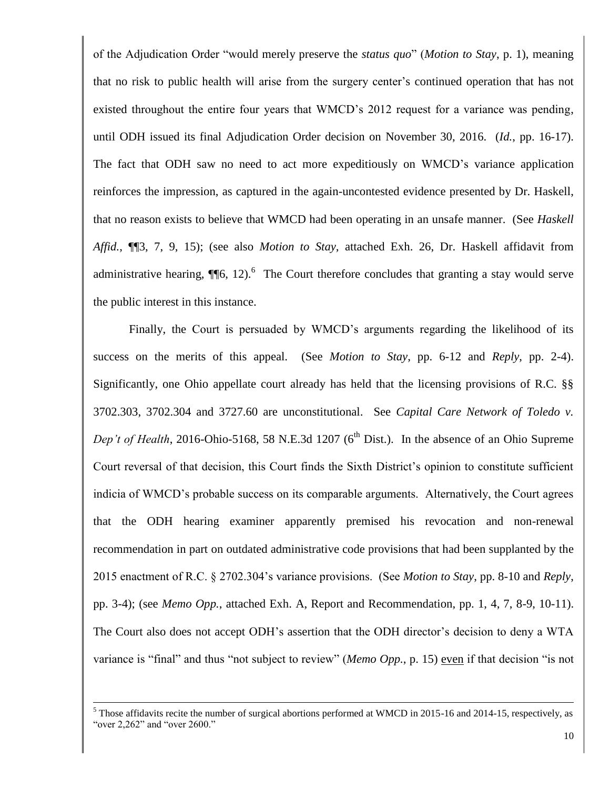of the Adjudication Order "would merely preserve the *status quo*" (*Motion to Stay*, p. 1), meaning that no risk to public health will arise from the surgery center's continued operation that has not existed throughout the entire four years that WMCD's 2012 request for a variance was pending, until ODH issued its final Adjudication Order decision on November 30, 2016. (*Id.*, pp. 16-17). The fact that ODH saw no need to act more expeditiously on WMCD's variance application reinforces the impression, as captured in the again-uncontested evidence presented by Dr. Haskell, that no reason exists to believe that WMCD had been operating in an unsafe manner. (See *Haskell Affid.*, ¶¶3, 7, 9, 15); (see also *Motion to Stay*, attached Exh. 26, Dr. Haskell affidavit from administrative hearing,  $\P$  $[6, 12)$ .<sup>6</sup> The Court therefore concludes that granting a stay would serve the public interest in this instance.

 Finally, the Court is persuaded by WMCD's arguments regarding the likelihood of its success on the merits of this appeal. (See *Motion to Stay*, pp. 6-12 and *Reply*, pp. 2-4). Significantly, one Ohio appellate court already has held that the licensing provisions of R.C. §§ 3702.303, 3702.304 and 3727.60 are unconstitutional. See *Capital Care Network of Toledo v. Dep't of Health*, 2016-Ohio-5168, 58 N.E.3d 1207 ( $6<sup>th</sup>$  Dist.). In the absence of an Ohio Supreme Court reversal of that decision, this Court finds the Sixth District's opinion to constitute sufficient indicia of WMCD's probable success on its comparable arguments. Alternatively, the Court agrees that the ODH hearing examiner apparently premised his revocation and non-renewal recommendation in part on outdated administrative code provisions that had been supplanted by the 2015 enactment of R.C. § 2702.304's variance provisions. (See *Motion to Stay*, pp. 8-10 and *Reply*, pp. 3-4); (see *Memo Opp.*, attached Exh. A, Report and Recommendation, pp. 1, 4, 7, 8-9, 10-11). The Court also does not accept ODH's assertion that the ODH director's decision to deny a WTA variance is "final" and thus "not subject to review" (*Memo Opp.*, p. 15) even if that decision "is not

l

<sup>&</sup>lt;sup>5</sup> Those affidavits recite the number of surgical abortions performed at WMCD in 2015-16 and 2014-15, respectively, as "over 2,262" and "over 2600."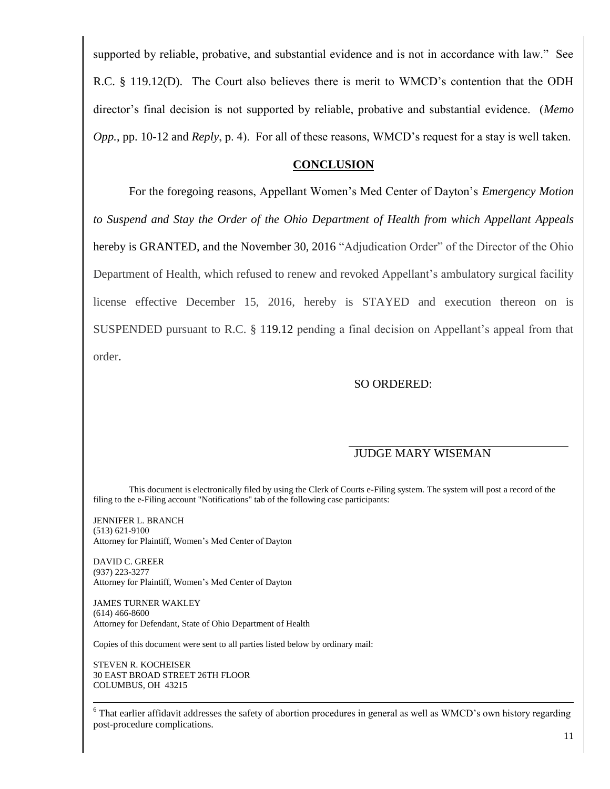supported by reliable, probative, and substantial evidence and is not in accordance with law." See R.C. § 119.12(D). The Court also believes there is merit to WMCD's contention that the ODH director's final decision is not supported by reliable, probative and substantial evidence. (*Memo Opp.*, pp. 10-12 and *Reply*, p. 4). For all of these reasons, WMCD's request for a stay is well taken.

### **CONCLUSION**

For the foregoing reasons, Appellant Women's Med Center of Dayton's *Emergency Motion to Suspend and Stay the Order of the Ohio Department of Health from which Appellant Appeals* hereby is GRANTED, and the November 30, 2016 "Adjudication Order" of the Director of the Ohio Department of Health, which refused to renew and revoked Appellant's ambulatory surgical facility license effective December 15, 2016, hereby is STAYED and execution thereon on is SUSPENDED pursuant to R.C. § 119.12 pending a final decision on Appellant's appeal from that order.

## SO ORDERED:

### JUDGE MARY WISEMAN

This document is electronically filed by using the Clerk of Courts e-Filing system. The system will post a record of the filing to the e-Filing account "Notifications" tab of the following case participants:

JENNIFER L. BRANCH (513) 621-9100 Attorney for Plaintiff, Women's Med Center of Dayton

DAVID C. GREER (937) 223-3277 Attorney for Plaintiff, Women's Med Center of Dayton

JAMES TURNER WAKLEY (614) 466-8600 Attorney for Defendant, State of Ohio Department of Health

Copies of this document were sent to all parties listed below by ordinary mail:

STEVEN R. KOCHEISER 30 EAST BROAD STREET 26TH FLOOR COLUMBUS, OH 43215

l

<sup>6</sup> That earlier affidavit addresses the safety of abortion procedures in general as well as WMCD's own history regarding post-procedure complications.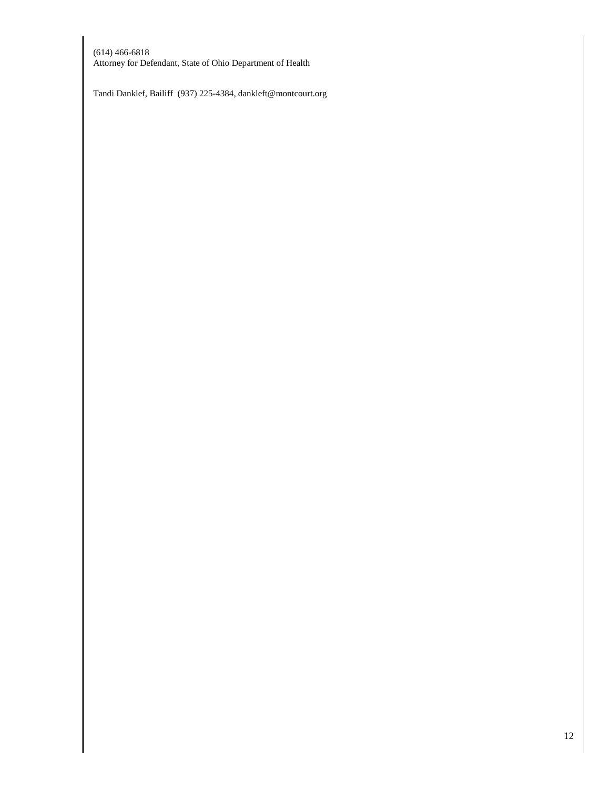(614) 466-6818 Attorney for Defendant, State of Ohio Department of Health

Tandi Danklef, Bailiff (937) 225-4384, dankleft@montcourt.org